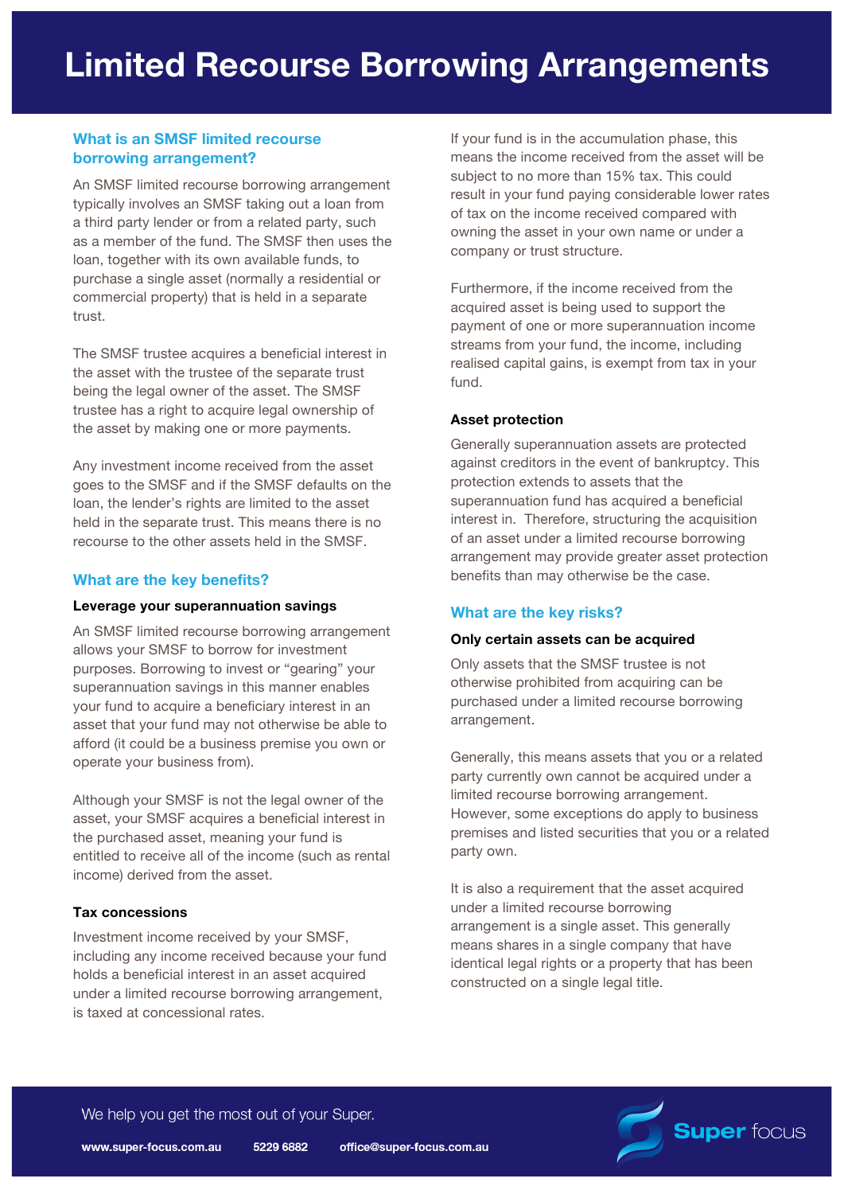# **What is an SMSF limited recourse borrowing arrangement?**

An SMSF limited recourse borrowing arrangement typically involves an SMSF taking out a loan from a third party lender or from a related party, such as a member of the fund. The SMSF then uses the loan, together with its own available funds, to purchase a single asset (normally a residential or commercial property) that is held in a separate trust.

The SMSF trustee acquires a beneficial interest in the asset with the trustee of the separate trust being the legal owner of the asset. The SMSF trustee has a right to acquire legal ownership of the asset by making one or more payments.

Any investment income received from the asset goes to the SMSF and if the SMSF defaults on the loan, the lender's rights are limited to the asset held in the separate trust. This means there is no recourse to the other assets held in the SMSF.

## **What are the key benefits?**

#### **Leverage your superannuation savings**

An SMSF limited recourse borrowing arrangement allows your SMSF to borrow for investment purposes. Borrowing to invest or "gearing" your superannuation savings in this manner enables your fund to acquire a beneficiary interest in an asset that your fund may not otherwise be able to afford (it could be a business premise you own or operate your business from).

Although your SMSF is not the legal owner of the asset, your SMSF acquires a beneficial interest in the purchased asset, meaning your fund is entitled to receive all of the income (such as rental income) derived from the asset.

### **Tax concessions**

Investment income received by your SMSF, including any income received because your fund holds a beneficial interest in an asset acquired under a limited recourse borrowing arrangement, is taxed at concessional rates.

If your fund is in the accumulation phase, this means the income received from the asset will be subject to no more than 15% tax. This could result in your fund paying considerable lower rates of tax on the income received compared with owning the asset in your own name or under a company or trust structure.

Furthermore, if the income received from the acquired asset is being used to support the payment of one or more superannuation income streams from your fund, the income, including realised capital gains, is exempt from tax in your fund.

### **Asset protection**

Generally superannuation assets are protected against creditors in the event of bankruptcy. This protection extends to assets that the superannuation fund has acquired a beneficial interest in. Therefore, structuring the acquisition of an asset under a limited recourse borrowing arrangement may provide greater asset protection benefits than may otherwise be the case.

### **What are the key risks?**

### **Only certain assets can be acquired**

Only assets that the SMSF trustee is not otherwise prohibited from acquiring can be purchased under a limited recourse borrowing arrangement.

Generally, this means assets that you or a related party currently own cannot be acquired under a limited recourse borrowing arrangement. However, some exceptions do apply to business premises and listed securities that you or a related party own.

It is also a requirement that the asset acquired under a limited recourse borrowing arrangement is a single asset. This generally means shares in a single company that have identical legal rights or a property that has been constructed on a single legal title.

We help you get the most out of your Super.